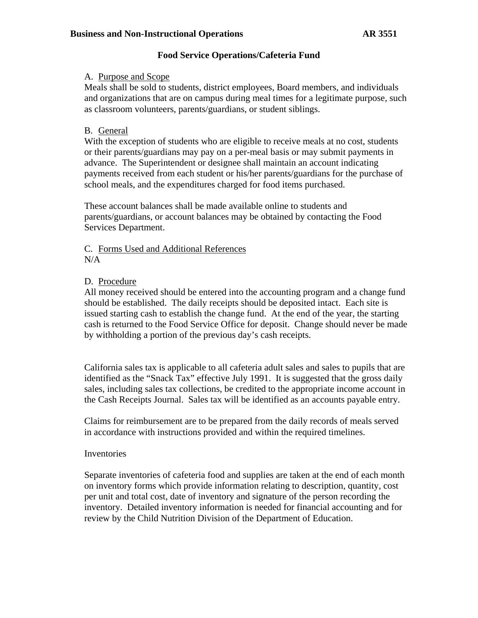# **Food Service Operations/Cafeteria Fund**

### A. Purpose and Scope

Meals shall be sold to students, district employees, Board members, and individuals and organizations that are on campus during meal times for a legitimate purpose, such as classroom volunteers, parents/guardians, or student siblings.

## B. General

With the exception of students who are eligible to receive meals at no cost, students or their parents/guardians may pay on a per-meal basis or may submit payments in advance. The Superintendent or designee shall maintain an account indicating payments received from each student or his/her parents/guardians for the purchase of school meals, and the expenditures charged for food items purchased.

These account balances shall be made available online to students and parents/guardians, or account balances may be obtained by contacting the Food Services Department.

#### C. Forms Used and Additional References  $N/A$

## D. Procedure

All money received should be entered into the accounting program and a change fund should be established. The daily receipts should be deposited intact. Each site is issued starting cash to establish the change fund. At the end of the year, the starting cash is returned to the Food Service Office for deposit. Change should never be made by withholding a portion of the previous day's cash receipts.

California sales tax is applicable to all cafeteria adult sales and sales to pupils that are identified as the "Snack Tax" effective July 1991. It is suggested that the gross daily sales, including sales tax collections, be credited to the appropriate income account in the Cash Receipts Journal. Sales tax will be identified as an accounts payable entry.

Claims for reimbursement are to be prepared from the daily records of meals served in accordance with instructions provided and within the required timelines.

### Inventories

Separate inventories of cafeteria food and supplies are taken at the end of each month on inventory forms which provide information relating to description, quantity, cost per unit and total cost, date of inventory and signature of the person recording the inventory. Detailed inventory information is needed for financial accounting and for review by the Child Nutrition Division of the Department of Education.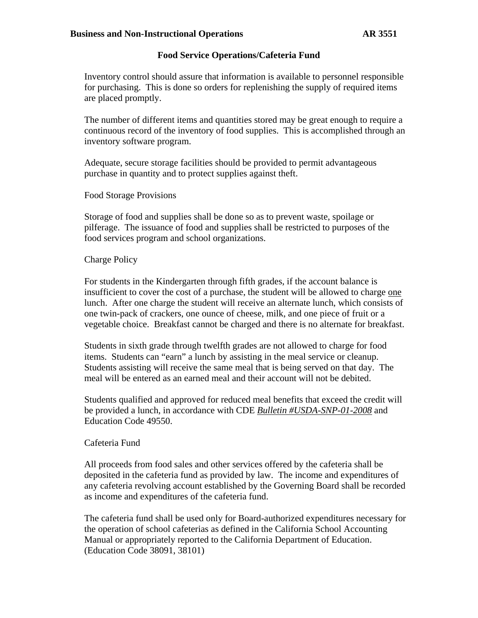## **Food Service Operations/Cafeteria Fund**

Inventory control should assure that information is available to personnel responsible for purchasing. This is done so orders for replenishing the supply of required items are placed promptly.

The number of different items and quantities stored may be great enough to require a continuous record of the inventory of food supplies. This is accomplished through an inventory software program.

Adequate, secure storage facilities should be provided to permit advantageous purchase in quantity and to protect supplies against theft.

Food Storage Provisions

Storage of food and supplies shall be done so as to prevent waste, spoilage or pilferage. The issuance of food and supplies shall be restricted to purposes of the food services program and school organizations.

### Charge Policy

For students in the Kindergarten through fifth grades, if the account balance is insufficient to cover the cost of a purchase, the student will be allowed to charge one lunch. After one charge the student will receive an alternate lunch, which consists of one twin-pack of crackers, one ounce of cheese, milk, and one piece of fruit or a vegetable choice. Breakfast cannot be charged and there is no alternate for breakfast.

Students in sixth grade through twelfth grades are not allowed to charge for food items. Students can "earn" a lunch by assisting in the meal service or cleanup. Students assisting will receive the same meal that is being served on that day. The meal will be entered as an earned meal and their account will not be debited.

Students qualified and approved for reduced meal benefits that exceed the credit will be provided a lunch, in accordance with CDE *Bulletin #USDA-SNP-01-2008* and Education Code 49550.

### Cafeteria Fund

All proceeds from food sales and other services offered by the cafeteria shall be deposited in the cafeteria fund as provided by law. The income and expenditures of any cafeteria revolving account established by the Governing Board shall be recorded as income and expenditures of the cafeteria fund.

The cafeteria fund shall be used only for Board-authorized expenditures necessary for the operation of school cafeterias as defined in the California School Accounting Manual or appropriately reported to the California Department of Education. (Education Code 38091, 38101)